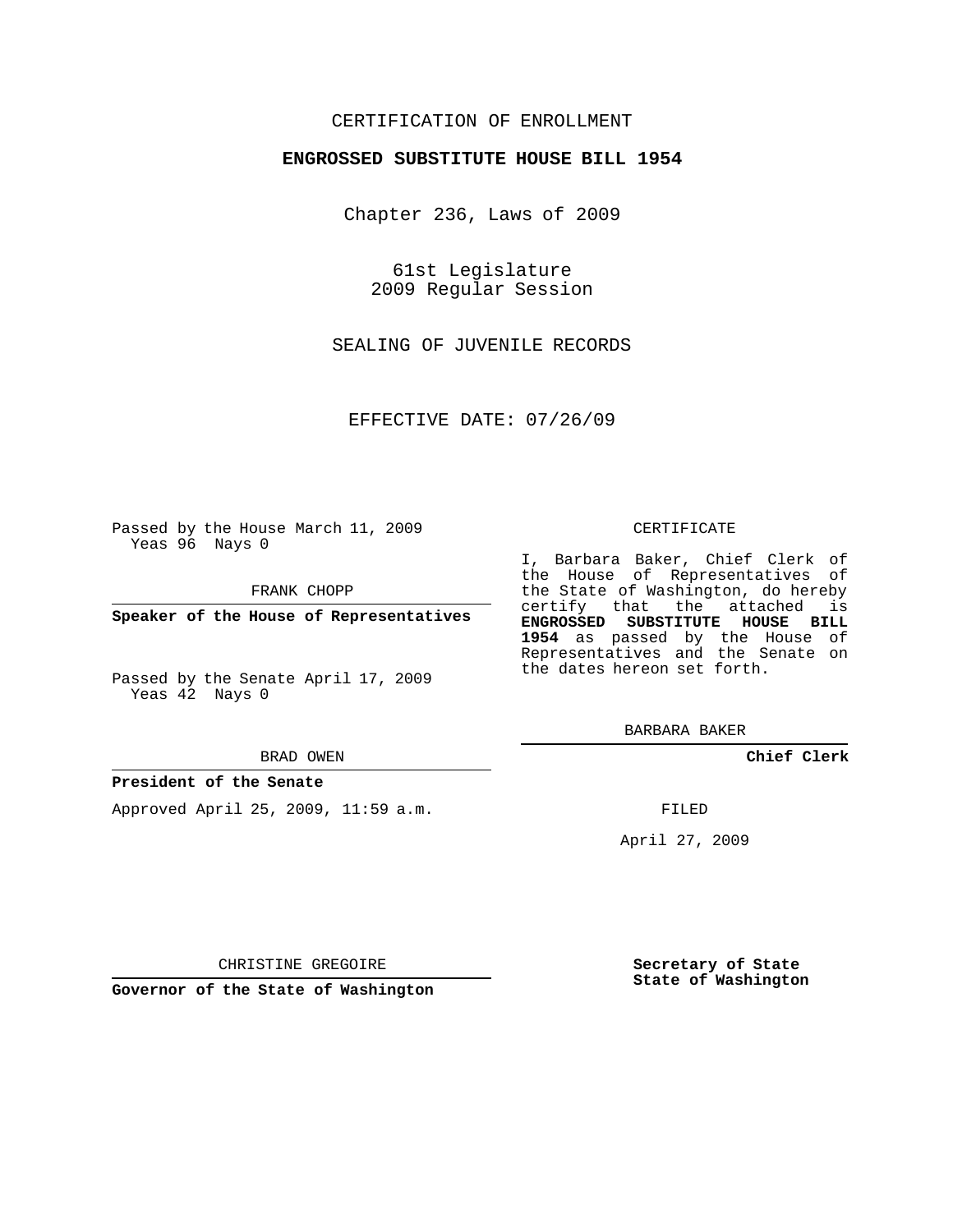# CERTIFICATION OF ENROLLMENT

## **ENGROSSED SUBSTITUTE HOUSE BILL 1954**

Chapter 236, Laws of 2009

61st Legislature 2009 Regular Session

SEALING OF JUVENILE RECORDS

EFFECTIVE DATE: 07/26/09

Passed by the House March 11, 2009 Yeas 96 Nays 0

FRANK CHOPP

**Speaker of the House of Representatives**

Passed by the Senate April 17, 2009 Yeas 42 Nays 0

#### BRAD OWEN

### **President of the Senate**

Approved April 25, 2009, 11:59 a.m.

#### CERTIFICATE

I, Barbara Baker, Chief Clerk of the House of Representatives of the State of Washington, do hereby certify that the attached is **ENGROSSED SUBSTITUTE HOUSE BILL 1954** as passed by the House of Representatives and the Senate on the dates hereon set forth.

BARBARA BAKER

**Chief Clerk**

FILED

April 27, 2009

CHRISTINE GREGOIRE

**Governor of the State of Washington**

**Secretary of State State of Washington**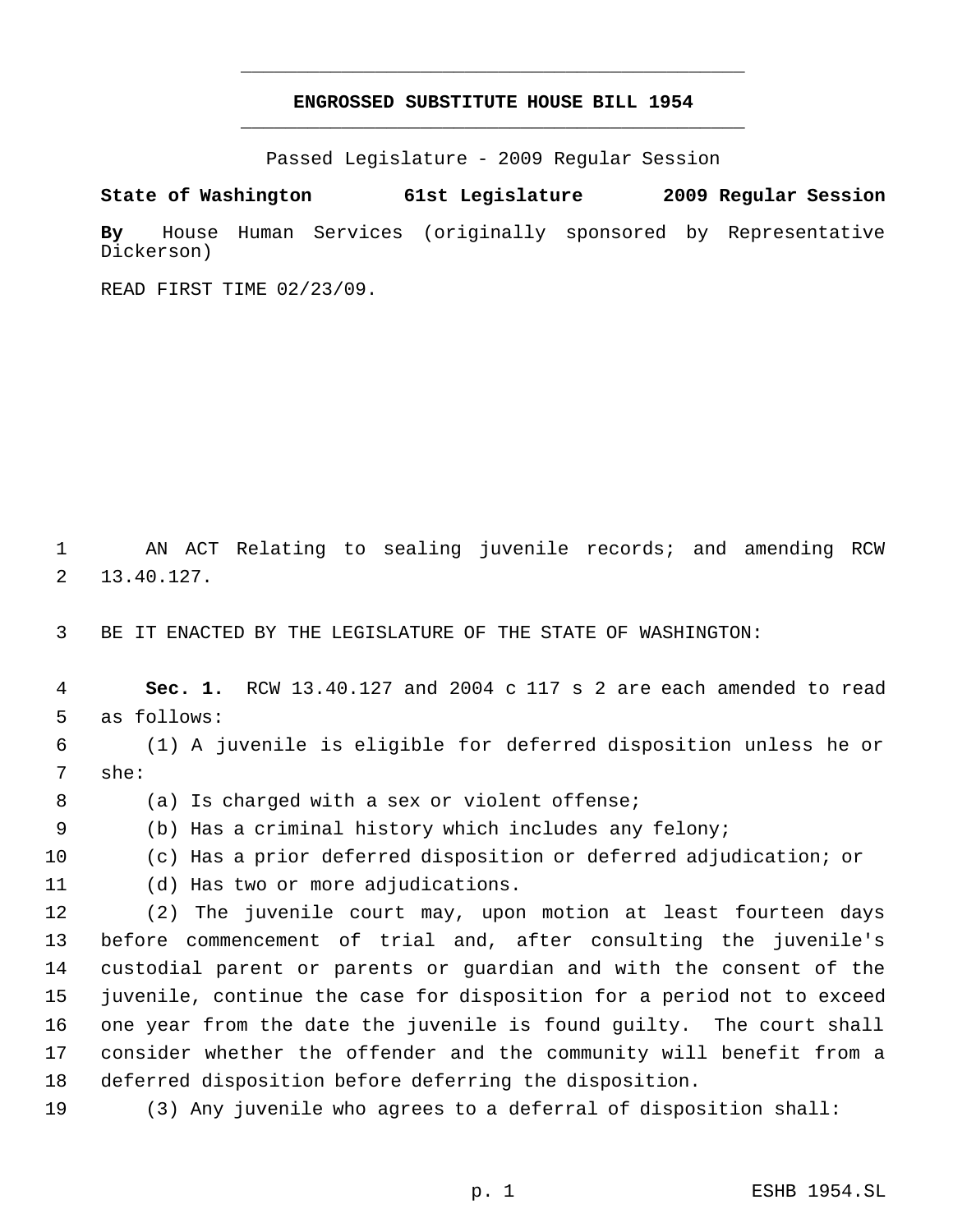# **ENGROSSED SUBSTITUTE HOUSE BILL 1954** \_\_\_\_\_\_\_\_\_\_\_\_\_\_\_\_\_\_\_\_\_\_\_\_\_\_\_\_\_\_\_\_\_\_\_\_\_\_\_\_\_\_\_\_\_

\_\_\_\_\_\_\_\_\_\_\_\_\_\_\_\_\_\_\_\_\_\_\_\_\_\_\_\_\_\_\_\_\_\_\_\_\_\_\_\_\_\_\_\_\_

Passed Legislature - 2009 Regular Session

**State of Washington 61st Legislature 2009 Regular Session By** House Human Services (originally sponsored by Representative Dickerson)

READ FIRST TIME 02/23/09.

 AN ACT Relating to sealing juvenile records; and amending RCW 13.40.127.

BE IT ENACTED BY THE LEGISLATURE OF THE STATE OF WASHINGTON:

 **Sec. 1.** RCW 13.40.127 and 2004 c 117 s 2 are each amended to read as follows:

 (1) A juvenile is eligible for deferred disposition unless he or she:

8 (a) Is charged with a sex or violent offense;

(b) Has a criminal history which includes any felony;

(c) Has a prior deferred disposition or deferred adjudication; or

(d) Has two or more adjudications.

 (2) The juvenile court may, upon motion at least fourteen days before commencement of trial and, after consulting the juvenile's custodial parent or parents or guardian and with the consent of the juvenile, continue the case for disposition for a period not to exceed one year from the date the juvenile is found guilty. The court shall consider whether the offender and the community will benefit from a deferred disposition before deferring the disposition.

(3) Any juvenile who agrees to a deferral of disposition shall: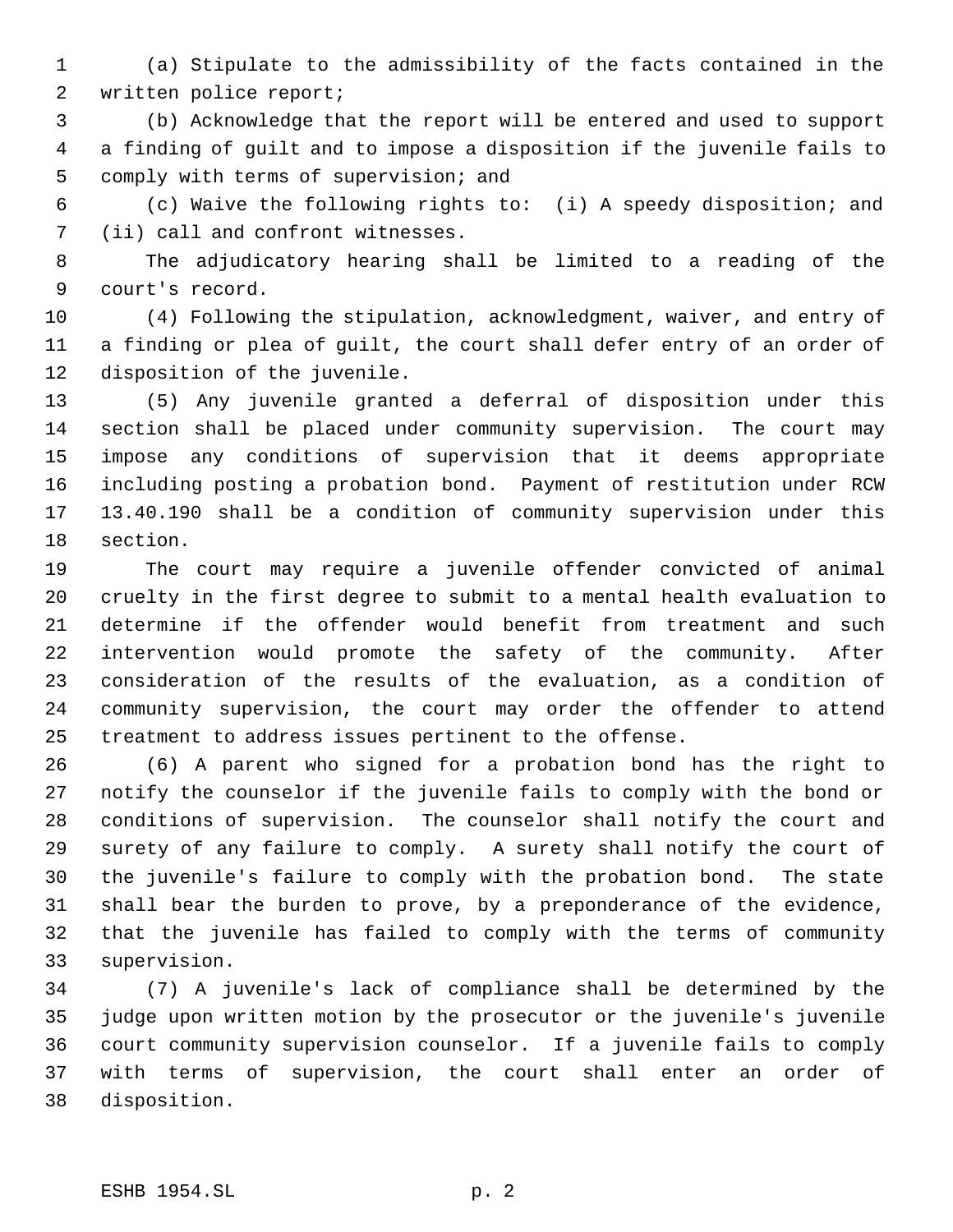(a) Stipulate to the admissibility of the facts contained in the written police report;

 (b) Acknowledge that the report will be entered and used to support a finding of guilt and to impose a disposition if the juvenile fails to comply with terms of supervision; and

 (c) Waive the following rights to: (i) A speedy disposition; and (ii) call and confront witnesses.

 The adjudicatory hearing shall be limited to a reading of the court's record.

 (4) Following the stipulation, acknowledgment, waiver, and entry of a finding or plea of guilt, the court shall defer entry of an order of disposition of the juvenile.

 (5) Any juvenile granted a deferral of disposition under this section shall be placed under community supervision. The court may impose any conditions of supervision that it deems appropriate including posting a probation bond. Payment of restitution under RCW 13.40.190 shall be a condition of community supervision under this section.

 The court may require a juvenile offender convicted of animal cruelty in the first degree to submit to a mental health evaluation to determine if the offender would benefit from treatment and such intervention would promote the safety of the community. After consideration of the results of the evaluation, as a condition of community supervision, the court may order the offender to attend treatment to address issues pertinent to the offense.

 (6) A parent who signed for a probation bond has the right to notify the counselor if the juvenile fails to comply with the bond or conditions of supervision. The counselor shall notify the court and surety of any failure to comply. A surety shall notify the court of the juvenile's failure to comply with the probation bond. The state shall bear the burden to prove, by a preponderance of the evidence, that the juvenile has failed to comply with the terms of community supervision.

 (7) A juvenile's lack of compliance shall be determined by the judge upon written motion by the prosecutor or the juvenile's juvenile court community supervision counselor. If a juvenile fails to comply with terms of supervision, the court shall enter an order of disposition.